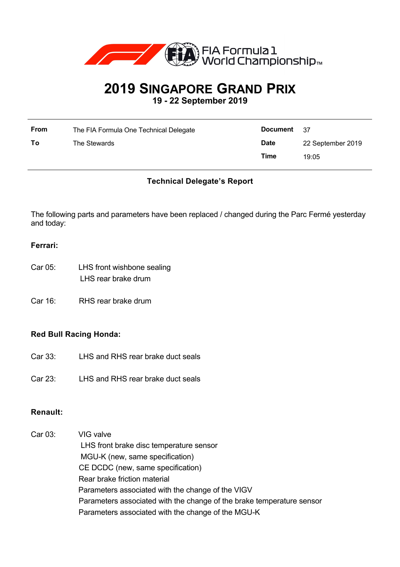

# **2019 SINGAPORE GRAND PRIX 19 - 22 September 2019**

| From | The FIA Formula One Technical Delegate | <b>Document</b> | 37                |
|------|----------------------------------------|-----------------|-------------------|
| To   | The Stewards                           | <b>Date</b>     | 22 September 2019 |
|      |                                        | Time            | 19:05             |

## **Technical Delegate's Report**

The following parts and parameters have been replaced / changed during the Parc Fermé yesterday and today:

## **Ferrari:**

- Car 05: LHS front wishbone sealing LHS rear brake drum
- Car 16: RHS rear brake drum

## **Red Bull Racing Honda:**

- Car 33: LHS and RHS rear brake duct seals
- Car 23: LHS and RHS rear brake duct seals

## **Renault:**

| Car 03: | VIG valve                                                             |
|---------|-----------------------------------------------------------------------|
|         | LHS front brake disc temperature sensor                               |
|         | MGU-K (new, same specification)                                       |
|         | CE DCDC (new, same specification)                                     |
|         | Rear brake friction material                                          |
|         | Parameters associated with the change of the VIGV                     |
|         | Parameters associated with the change of the brake temperature sensor |
|         | Parameters associated with the change of the MGU-K                    |